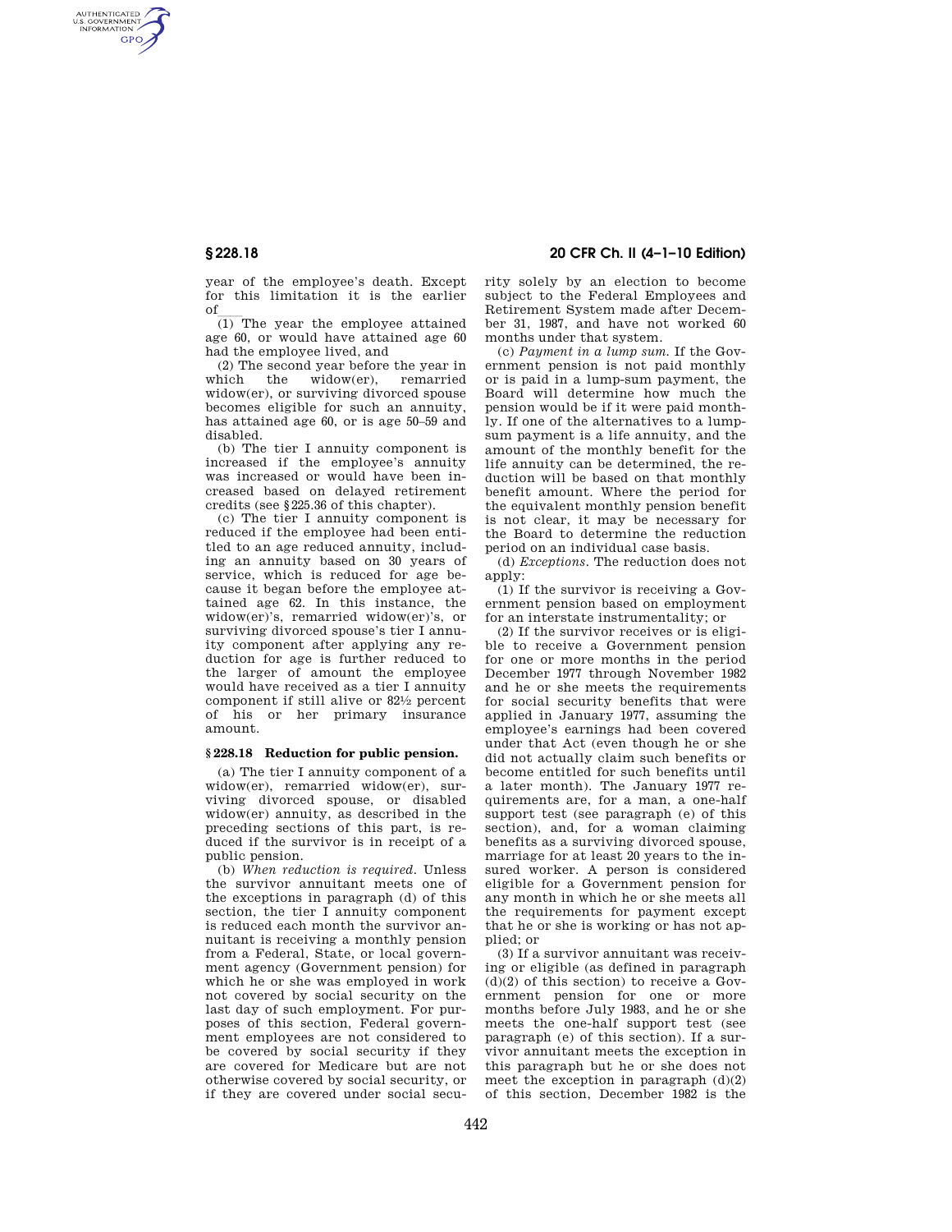AUTHENTICATED<br>U.S. GOVERNMENT<br>INFORMATION **GPO** 

> year of the employee's death. Except for this limitation it is the earlier

of  $\frac{1}{1}$  The year the employee attained age 60, or would have attained age 60 had the employee lived, and

(2) The second year before the year in which the widow(er), remarried widow(er), or surviving divorced spouse becomes eligible for such an annuity, has attained age 60, or is age 50–59 and disabled.

(b) The tier I annuity component is increased if the employee's annuity was increased or would have been increased based on delayed retirement credits (see §225.36 of this chapter).

(c) The tier I annuity component is reduced if the employee had been entitled to an age reduced annuity, including an annuity based on 30 years of service, which is reduced for age because it began before the employee attained age 62. In this instance, the widow(er)'s, remarried widow(er)'s, or surviving divorced spouse's tier I annuity component after applying any reduction for age is further reduced to the larger of amount the employee would have received as a tier I annuity component if still alive or 821⁄2 percent of his or her primary insurance amount.

## **§ 228.18 Reduction for public pension.**

(a) The tier I annuity component of a widow(er), remarried widow(er), surviving divorced spouse, or disabled widow(er) annuity, as described in the preceding sections of this part, is reduced if the survivor is in receipt of a public pension.

(b) *When reduction is required.* Unless the survivor annuitant meets one of the exceptions in paragraph (d) of this section, the tier I annuity component is reduced each month the survivor annuitant is receiving a monthly pension from a Federal, State, or local government agency (Government pension) for which he or she was employed in work not covered by social security on the last day of such employment. For purposes of this section, Federal government employees are not considered to be covered by social security if they are covered for Medicare but are not otherwise covered by social security, or if they are covered under social secu-

# **§ 228.18 20 CFR Ch. II (4–1–10 Edition)**

rity solely by an election to become subject to the Federal Employees and Retirement System made after December 31, 1987, and have not worked 60 months under that system.

(c) *Payment in a lump sum.* If the Government pension is not paid monthly or is paid in a lump-sum payment, the Board will determine how much the pension would be if it were paid monthly. If one of the alternatives to a lumpsum payment is a life annuity, and the amount of the monthly benefit for the life annuity can be determined, the reduction will be based on that monthly benefit amount. Where the period for the equivalent monthly pension benefit is not clear, it may be necessary for the Board to determine the reduction period on an individual case basis.

(d) *Exceptions.* The reduction does not apply:

(1) If the survivor is receiving a Government pension based on employment for an interstate instrumentality; or

(2) If the survivor receives or is eligible to receive a Government pension for one or more months in the period December 1977 through November 1982 and he or she meets the requirements for social security benefits that were applied in January 1977, assuming the employee's earnings had been covered under that Act (even though he or she did not actually claim such benefits or become entitled for such benefits until a later month). The January 1977 requirements are, for a man, a one-half support test (see paragraph (e) of this section), and, for a woman claiming benefits as a surviving divorced spouse, marriage for at least 20 years to the insured worker. A person is considered eligible for a Government pension for any month in which he or she meets all the requirements for payment except that he or she is working or has not applied; or

(3) If a survivor annuitant was receiving or eligible (as defined in paragraph  $(d)(2)$  of this section) to receive a Government pension for one or more months before July 1983, and he or she meets the one-half support test (see paragraph (e) of this section). If a survivor annuitant meets the exception in this paragraph but he or she does not meet the exception in paragraph (d)(2) of this section, December 1982 is the